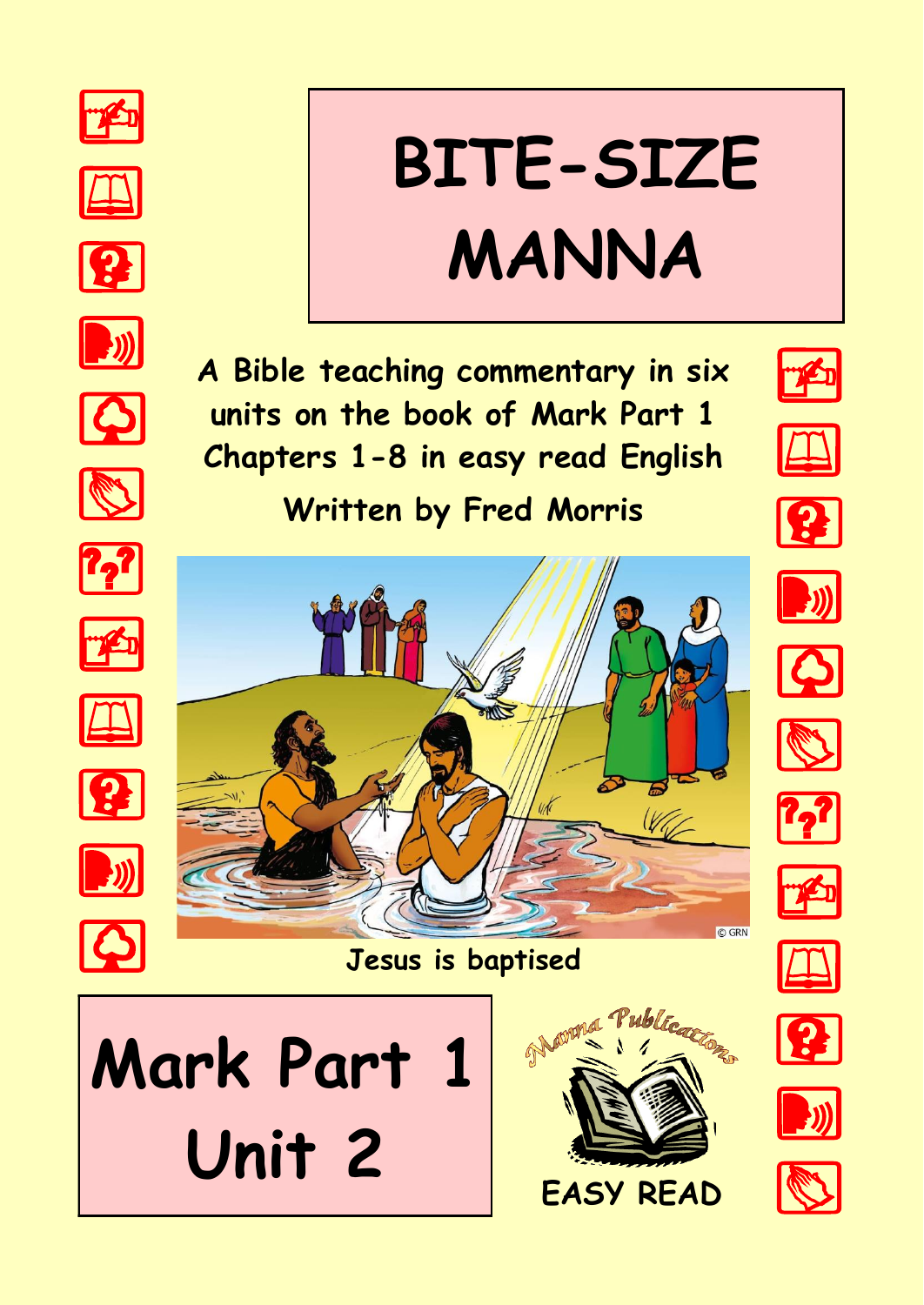























# **BITE-SIZE MANNA**





**Jesus is baptised**



























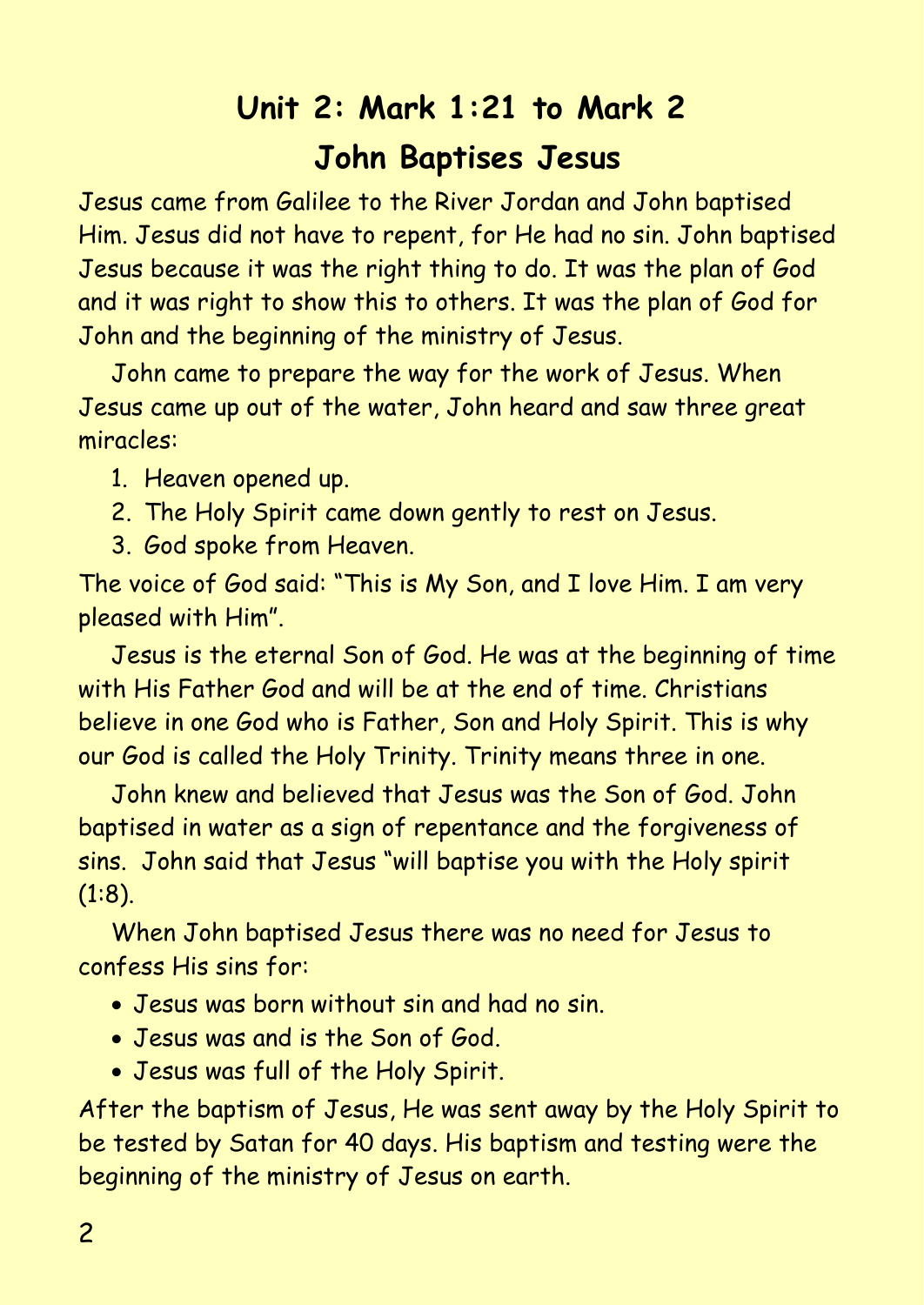# **Unit 2: Mark 1:21 to Mark 2 John Baptises Jesus**

Jesus came from Galilee to the River Jordan and John baptised Him. Jesus did not have to repent, for He had no sin. John baptised Jesus because it was the right thing to do. It was the plan of God and it was right to show this to others. It was the plan of God for John and the beginning of the ministry of Jesus.

John came to prepare the way for the work of Jesus. When Jesus came up out of the water, John heard and saw three great miracles:

1. Heaven opened up.

- 2. The Holy Spirit came down gently to rest on Jesus.
- 3. God spoke from Heaven.

The voice of God said: "This is My Son, and I love Him. I am very pleased with Him".

Jesus is the eternal Son of God. He was at the beginning of time with His Father God and will be at the end of time. Christians believe in one God who is Father, Son and Holy Spirit. This is why our God is called the Holy Trinity. Trinity means three in one.

John knew and believed that Jesus was the Son of God. John baptised in water as a sign of repentance and the forgiveness of sins. John said that Jesus "will baptise you with the Holy spirit (1:8).

When John baptised Jesus there was no need for Jesus to confess His sins for:

- Jesus was born without sin and had no sin.
- Jesus was and is the Son of God.
- Jesus was full of the Holy Spirit.

After the baptism of Jesus, He was sent away by the Holy Spirit to be tested by Satan for 40 days. His baptism and testing were the beginning of the ministry of Jesus on earth.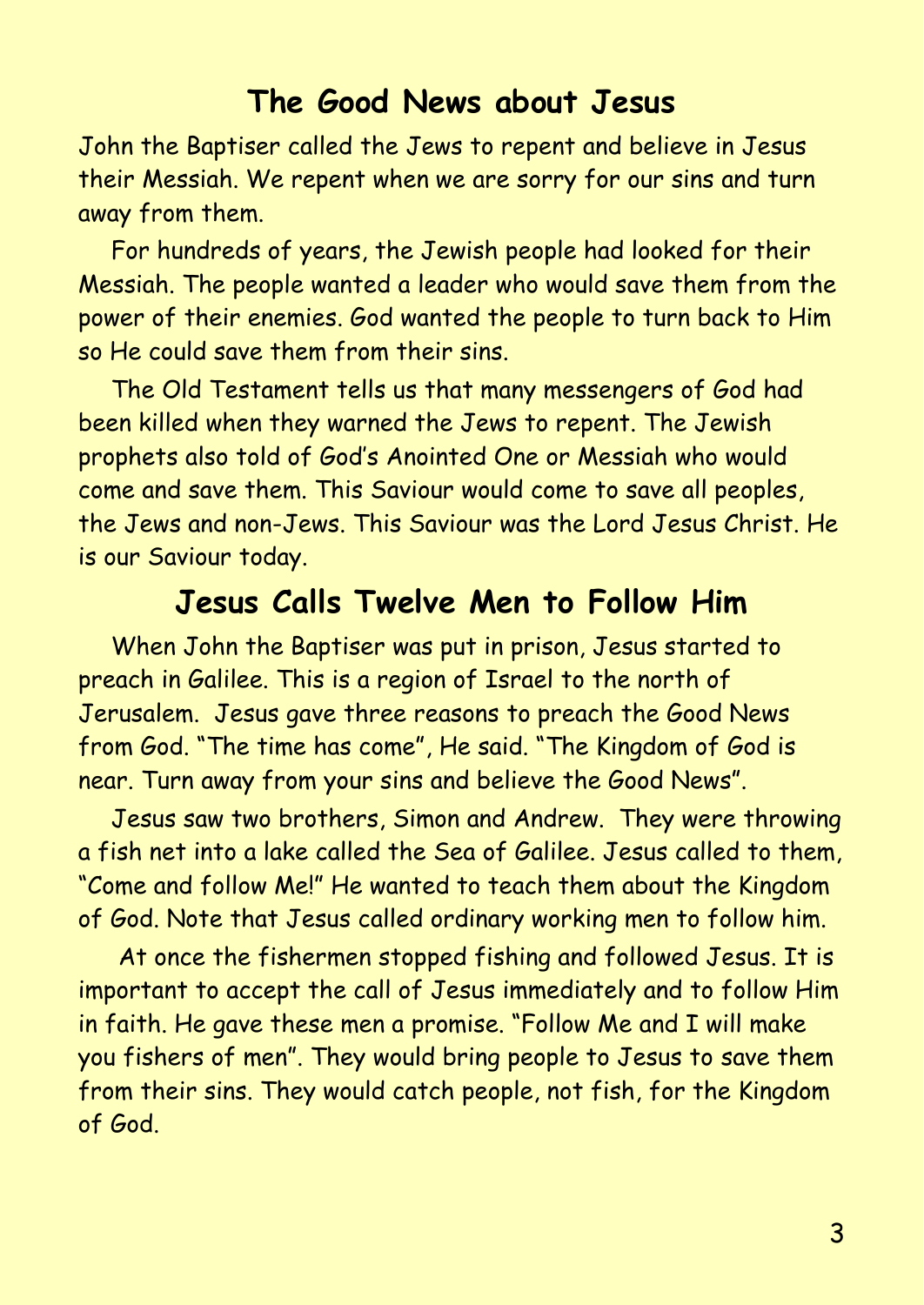#### **The Good News about Jesus**

John the Baptiser called the Jews to repent and believe in Jesus their Messiah. We repent when we are sorry for our sins and turn away from them.

For hundreds of years, the Jewish people had looked for their Messiah. The people wanted a leader who would save them from the power of their enemies. God wanted the people to turn back to Him so He could save them from their sins.

The Old Testament tells us that many messengers of God had been killed when they warned the Jews to repent. The Jewish prophets also told of God's Anointed One or Messiah who would come and save them. This Saviour would come to save all peoples, the Jews and non-Jews. This Saviour was the Lord Jesus Christ. He is our Saviour today.

### **Jesus Calls Twelve Men to Follow Him**

When John the Baptiser was put in prison, Jesus started to preach in Galilee. This is a region of Israel to the north of Jerusalem. Jesus gave three reasons to preach the Good News from God. "The time has come", He said. "The Kingdom of God is near. Turn away from your sins and believe the Good News".

Jesus saw two brothers, Simon and Andrew. They were throwing a fish net into a lake called the Sea of Galilee. Jesus called to them, "Come and follow Me!" He wanted to teach them about the Kingdom of God. Note that Jesus called ordinary working men to follow him.

At once the fishermen stopped fishing and followed Jesus. It is important to accept the call of Jesus immediately and to follow Him in faith. He gave these men a promise. "Follow Me and I will make you fishers of men". They would bring people to Jesus to save them from their sins. They would catch people, not fish, for the Kingdom of God.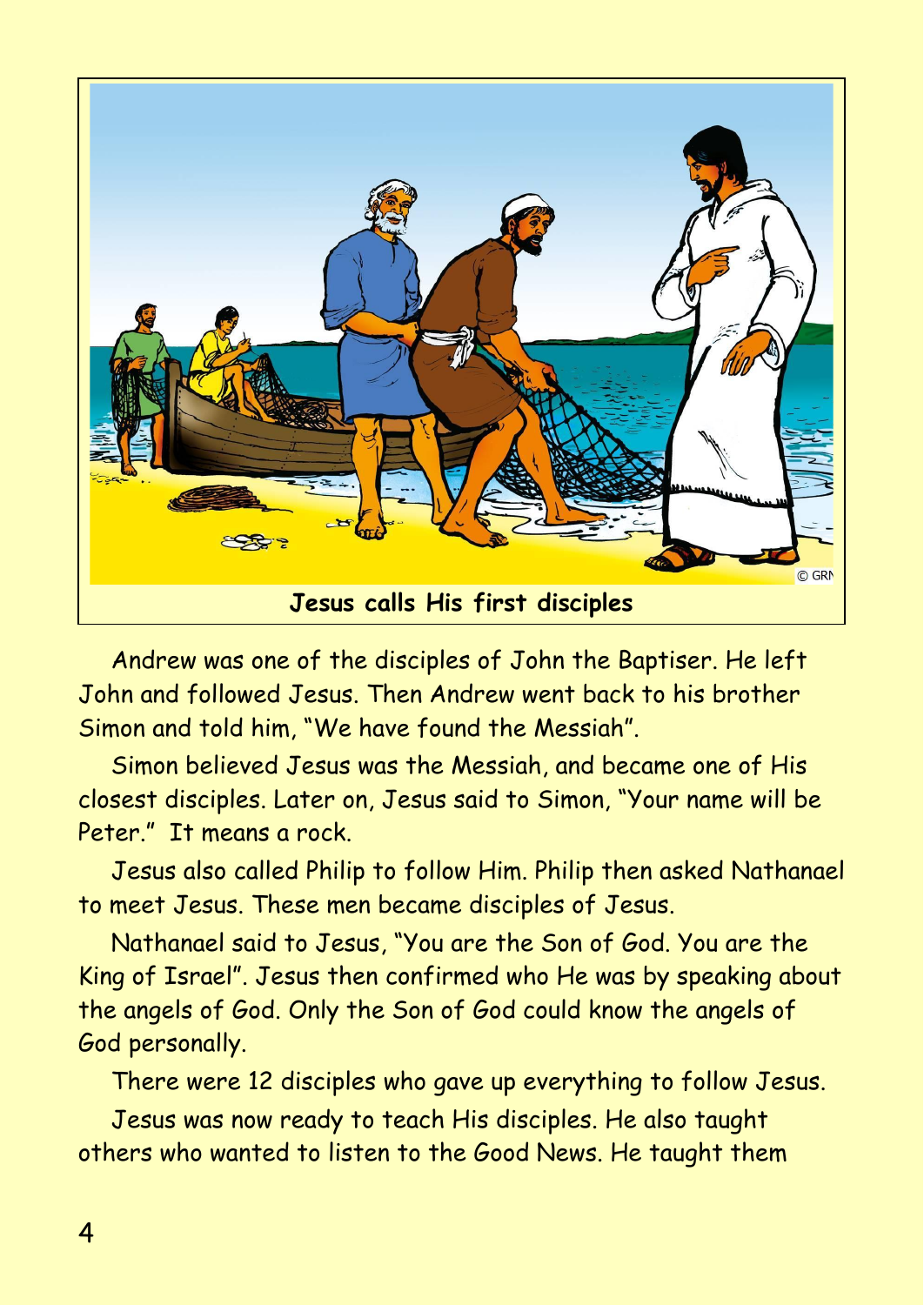

Andrew was one of the disciples of John the Baptiser. He left John and followed Jesus. Then Andrew went back to his brother Simon and told him, "We have found the Messiah".

Simon believed Jesus was the Messiah, and became one of His closest disciples. Later on, Jesus said to Simon, "Your name will be Peter." It means a rock.

Jesus also called Philip to follow Him. Philip then asked Nathanael to meet Jesus. These men became disciples of Jesus.

Nathanael said to Jesus, "You are the Son of God. You are the King of Israel". Jesus then confirmed who He was by speaking about the angels of God. Only the Son of God could know the angels of God personally.

There were 12 disciples who gave up everything to follow Jesus.

Jesus was now ready to teach His disciples. He also taught others who wanted to listen to the Good News. He taught them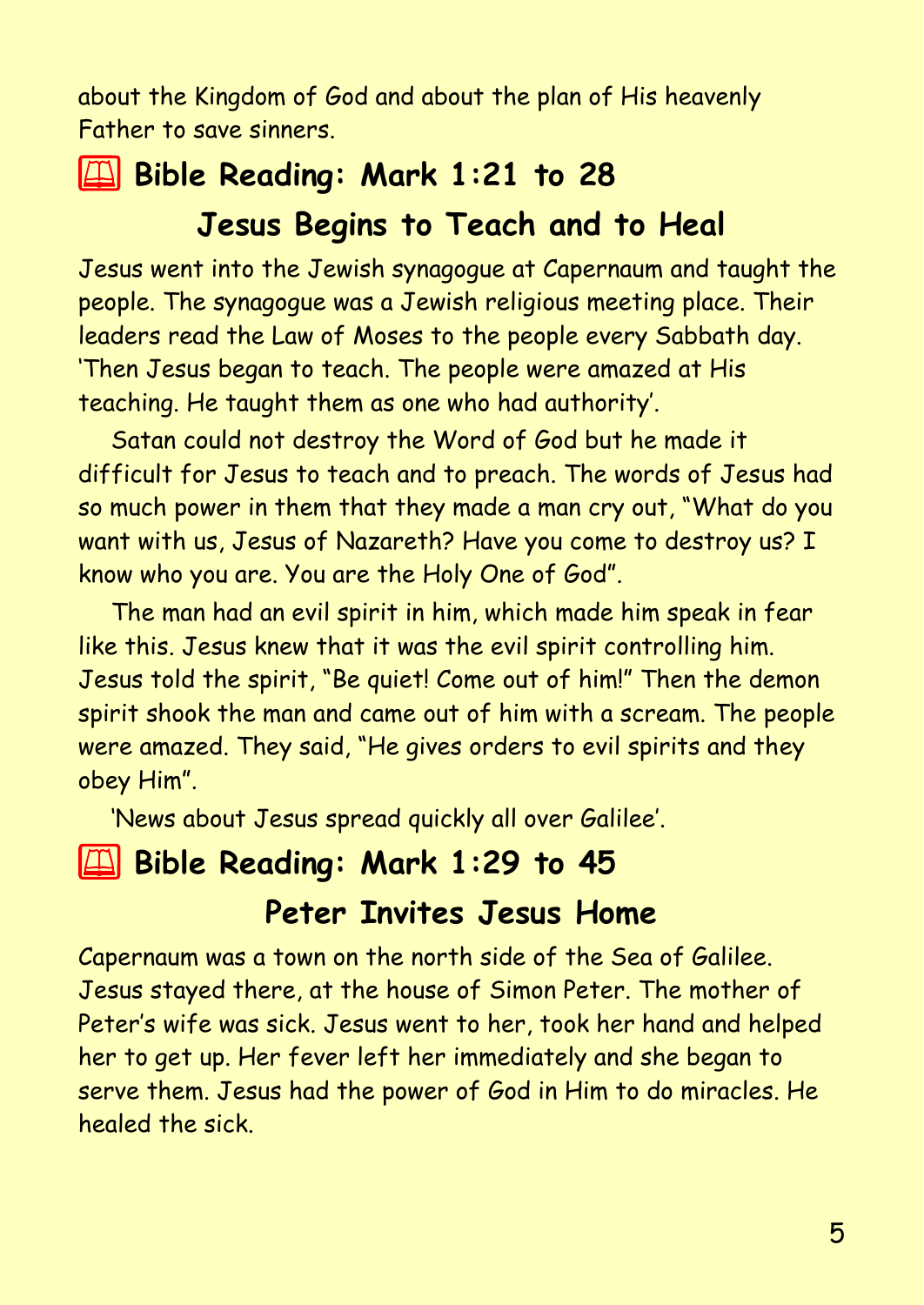about the Kingdom of God and about the plan of His heavenly Father to save sinners.

## 2 **Bible Reading: Mark 1:21 to 28 Jesus Begins to Teach and to Heal**

Jesus went into the Jewish synagogue at Capernaum and taught the people. The synagogue was a Jewish religious meeting place. Their leaders read the Law of Moses to the people every Sabbath day. 'Then Jesus began to teach. The people were amazed at His teaching. He taught them as one who had authority'.

Satan could not destroy the Word of God but he made it difficult for Jesus to teach and to preach. The words of Jesus had so much power in them that they made a man cry out, "What do you want with us, Jesus of Nazareth? Have you come to destroy us? I know who you are. You are the Holy One of God".

The man had an evil spirit in him, which made him speak in fear like this. Jesus knew that it was the evil spirit controlling him. Jesus told the spirit, "Be quiet! Come out of him!" Then the demon spirit shook the man and came out of him with a scream. The people were amazed. They said, "He gives orders to evil spirits and they obey Him".

'News about Jesus spread quickly all over Galilee'.

## **2 Bible Reading: Mark 1:29 to 45**

#### **Peter Invites Jesus Home**

Capernaum was a town on the north side of the Sea of Galilee. Jesus stayed there, at the house of Simon Peter. The mother of Peter's wife was sick. Jesus went to her, took her hand and helped her to get up. Her fever left her immediately and she began to serve them. Jesus had the power of God in Him to do miracles. He healed the sick.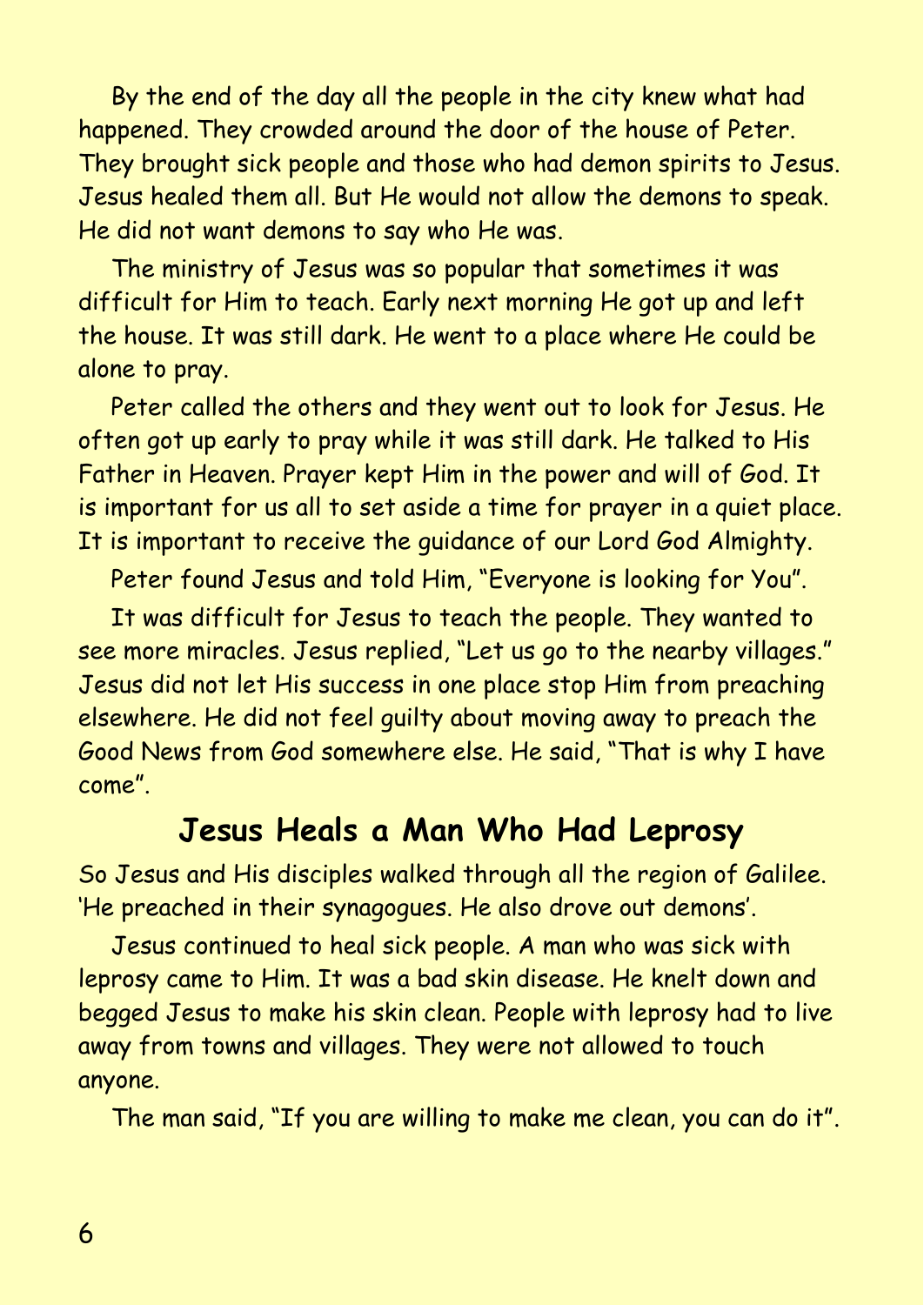By the end of the day all the people in the city knew what had happened. They crowded around the door of the house of Peter. They brought sick people and those who had demon spirits to Jesus. Jesus healed them all. But He would not allow the demons to speak. He did not want demons to say who He was.

The ministry of Jesus was so popular that sometimes it was difficult for Him to teach. Early next morning He got up and left the house. It was still dark. He went to a place where He could be alone to pray.

Peter called the others and they went out to look for Jesus. He often got up early to pray while it was still dark. He talked to His Father in Heaven. Prayer kept Him in the power and will of God. It is important for us all to set aside a time for prayer in a quiet place. It is important to receive the guidance of our Lord God Almighty.

Peter found Jesus and told Him, "Everyone is looking for You".

It was difficult for Jesus to teach the people. They wanted to see more miracles. Jesus replied, "Let us go to the nearby villages." Jesus did not let His success in one place stop Him from preaching elsewhere. He did not feel guilty about moving away to preach the Good News from God somewhere else. He said, "That is why I have come".

#### **Jesus Heals a Man Who Had Leprosy**

So Jesus and His disciples walked through all the region of Galilee. 'He preached in their synagogues. He also drove out demons'.

Jesus continued to heal sick people. A man who was sick with leprosy came to Him. It was a bad skin disease. He knelt down and begged Jesus to make his skin clean. People with leprosy had to live away from towns and villages. They were not allowed to touch anyone.

The man said, "If you are willing to make me clean, you can do it".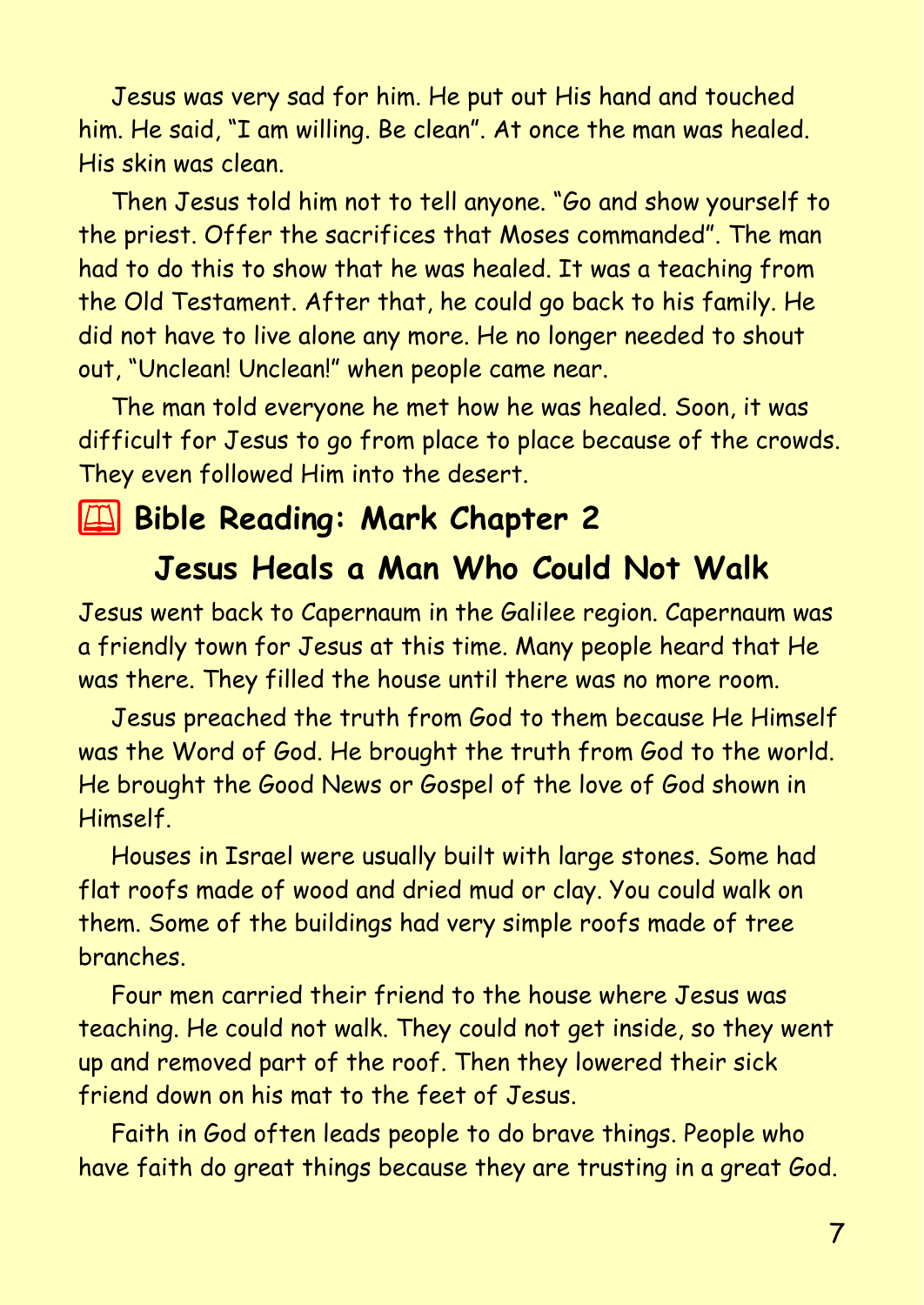Jesus was very sad for him. He put out His hand and touched him. He said, "I am willing. Be clean". At once the man was healed. His skin was clean.

Then Jesus told him not to tell anyone. "Go and show yourself to the priest. Offer the sacrifices that Moses commanded". The man had to do this to show that he was healed. It was a teaching from the Old Testament. After that, he could go back to his family. He did not have to live alone any more. He no longer needed to shout out, "Unclean! Unclean!" when people came near.

The man told everyone he met how he was healed. Soon, it was difficult for Jesus to go from place to place because of the crowds. They even followed Him into the desert.

## 2 **Bible Reading: Mark Chapter 2**

## **Jesus Heals a Man Who Could Not Walk**

Jesus went back to Capernaum in the Galilee region. Capernaum was a friendly town for Jesus at this time. Many people heard that He was there. They filled the house until there was no more room.

Jesus preached the truth from God to them because He Himself was the Word of God. He brought the truth from God to the world. He brought the Good News or Gospel of the love of God shown in Himself.

Houses in Israel were usually built with large stones. Some had flat roofs made of wood and dried mud or clay. You could walk on them. Some of the buildings had very simple roofs made of tree branches.

Four men carried their friend to the house where Jesus was teaching. He could not walk. They could not get inside, so they went up and removed part of the roof. Then they lowered their sick friend down on his mat to the feet of Jesus.

Faith in God often leads people to do brave things. People who have faith do great things because they are trusting in a great God.